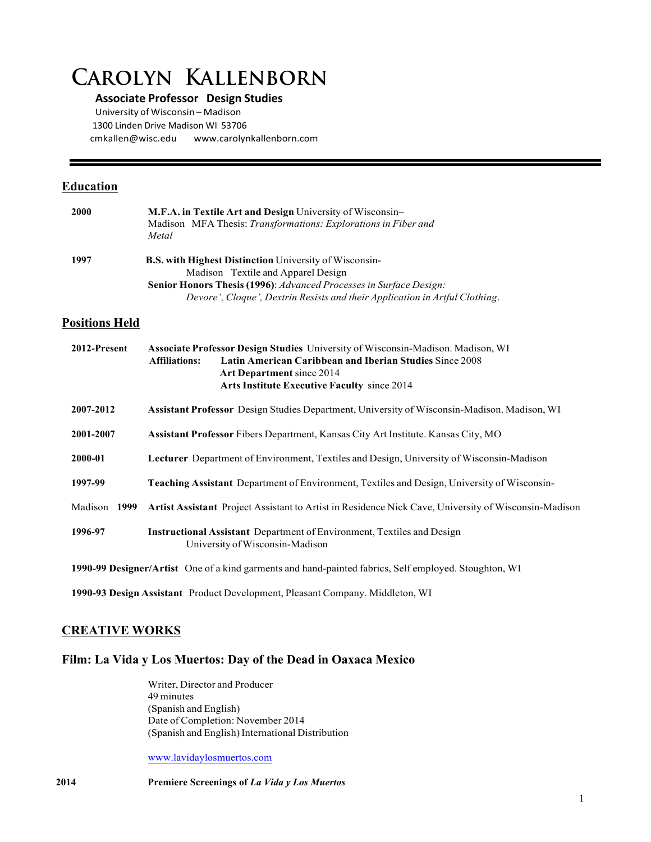# **Carolyn Kallenborn**

### **Associate Professor Design Studies**

University of Wisconsin – Madison 1300 Linden Drive Madison WI 53706 cmkallen@wisc.edu www.carolynkallenborn.com

### **Education**

| <b>2000</b> | M.F.A. in Textile Art and Design University of Wisconsin-<br>Madison MFA Thesis: Transformations: Explorations in Fiber and<br>Metal |
|-------------|--------------------------------------------------------------------------------------------------------------------------------------|
| 1997        | <b>B.S. with Highest Distinction</b> University of Wisconsin-                                                                        |
|             | Madison Textile and Apparel Design                                                                                                   |
|             | Senior Honors Thesis (1996): Advanced Processes in Surface Design:                                                                   |
|             | Devore', Cloque', Dextrin Resists and their Application in Artful Clothing.                                                          |

## **Positions Held**

| 2012-Present                                                                                          | <b>Associate Professor Design Studies</b> University of Wisconsin-Madison. Madison, WI<br><b>Latin American Caribbean and Iberian Studies Since 2008</b><br><b>Affiliations:</b><br><b>Art Department</b> since 2014<br><b>Arts Institute Executive Faculty since 2014</b> |
|-------------------------------------------------------------------------------------------------------|----------------------------------------------------------------------------------------------------------------------------------------------------------------------------------------------------------------------------------------------------------------------------|
| 2007-2012                                                                                             | <b>Assistant Professor</b> Design Studies Department, University of Wisconsin-Madison. Madison, WI                                                                                                                                                                         |
| 2001-2007                                                                                             | <b>Assistant Professor</b> Fibers Department, Kansas City Art Institute. Kansas City, MO                                                                                                                                                                                   |
| 2000-01                                                                                               | <b>Lecturer</b> Department of Environment, Textiles and Design, University of Wisconsin-Madison                                                                                                                                                                            |
| 1997-99                                                                                               | <b>Teaching Assistant</b> Department of Environment, Textiles and Design, University of Wisconsin-                                                                                                                                                                         |
| Madison<br>1999                                                                                       | Artist Assistant Project Assistant to Artist in Residence Nick Cave, University of Wisconsin-Madison                                                                                                                                                                       |
| 1996-97                                                                                               | <b>Instructional Assistant</b> Department of Environment, Textiles and Design<br>University of Wisconsin-Madison                                                                                                                                                           |
| 1990-99 Designer/Artist One of a kind garments and hand-painted fabrics, Self employed. Stoughton, WI |                                                                                                                                                                                                                                                                            |
|                                                                                                       | 1990-93 Design Assistant Product Development, Pleasant Company. Middleton, WI                                                                                                                                                                                              |

## **CREATIVE WORKS**

### **Film: La Vida y Los Muertos: Day of the Dead in Oaxaca Mexico**

Writer, Director and Producer 49 minutes (Spanish and English) Date of Completion: November 2014 (Spanish and English) International Distribution

www.lavidaylosmuertos.com

**2014 Premiere Screenings of** *La Vida y Los Muertos*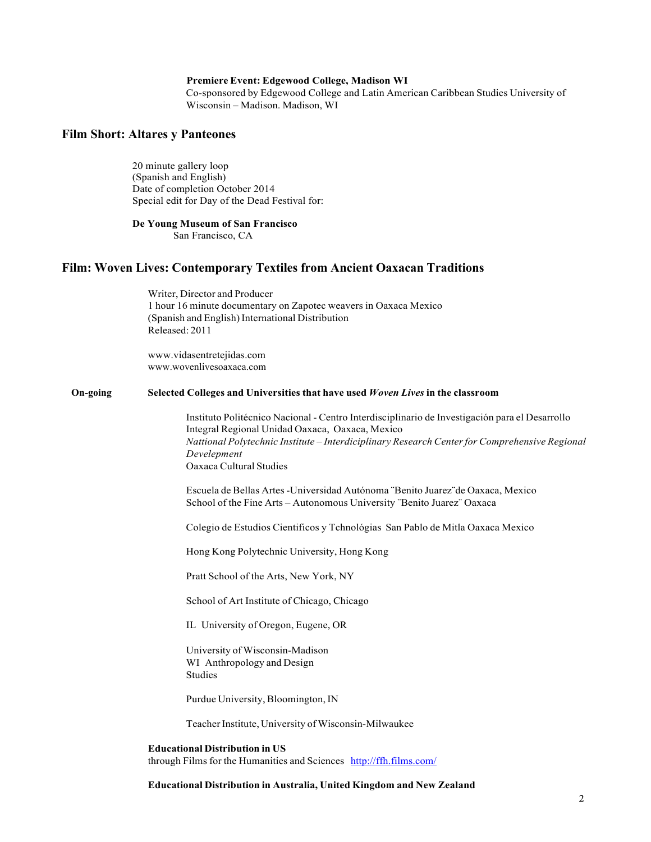#### **Premiere Event: Edgewood College, Madison WI**

Co-sponsored by Edgewood College and Latin American Caribbean Studies University of Wisconsin – Madison. Madison, WI

## **Film Short: Altares y Panteones**

20 minute gallery loop (Spanish and English) Date of completion October 2014 Special edit for Day of the Dead Festival for:

#### **De Young Museum of San Francisco**

San Francisco, CA

#### **Film: Woven Lives: Contemporary Textiles from Ancient Oaxacan Traditions**

Writer, Director and Producer 1 hour 16 minute documentary on Zapotec weavers in Oaxaca Mexico (Spanish and English) International Distribution Released: 2011

www.vidasentretejidas.com www.wovenlivesoaxaca.com

#### **On-going Selected Colleges and Universities that have used** *Woven Lives* **in the classroom**

Instituto Politécnico Nacional - Centro Interdisciplinario de Investigación para el Desarrollo Integral Regional Unidad Oaxaca, Oaxaca, Mexico *Nattional Polytechnic Institute – Interdiciplinary Research Centerfor Comprehensive Regional Develepment* Oaxaca Cultural Studies

Escuela de Bellas Artes-Universidad Autónoma ¨Benito Juarez¨de Oaxaca, Mexico School of the Fine Arts – Autonomous University ¨Benito Juarez¨ Oaxaca

Colegio de Estudios Cientificos y Tchnológias San Pablo de Mitla Oaxaca Mexico

Hong Kong Polytechnic University, Hong Kong

Pratt School of the Arts, New York, NY

School of Art Institute of Chicago, Chicago

IL University of Oregon, Eugene, OR

University of Wisconsin-Madison WI Anthropology and Design Studies

Purdue University, Bloomington, IN

Teacher Institute, University of Wisconsin-Milwaukee

#### **Educational Distribution in US**

through Films for the Humanities and Sciences http://ffh.films.com/

#### **Educational Distribution in Australia, United Kingdom and New Zealand**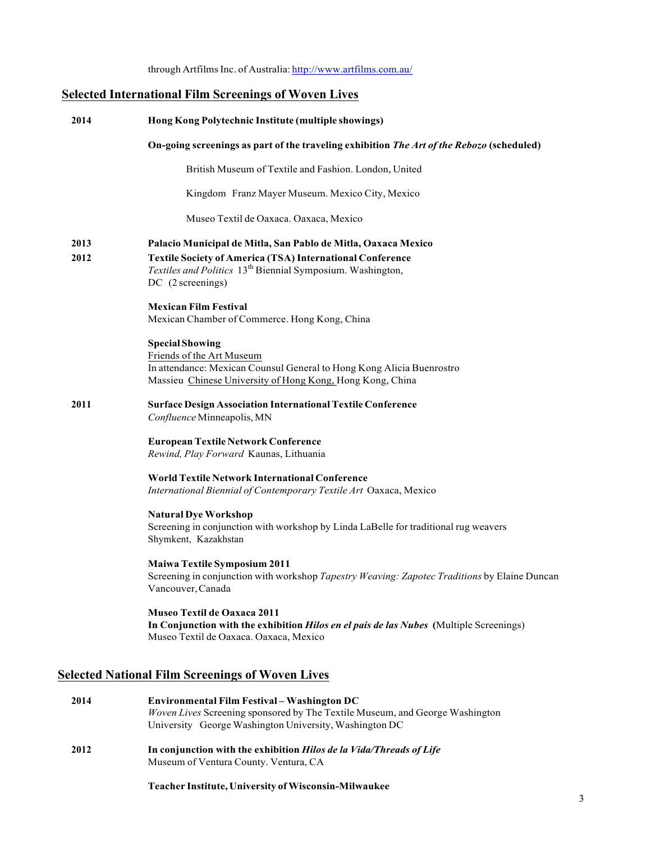through Artfilms Inc. of Australia: http://www.artfilms.com.au/

## **Selected International Film Screenings of Woven Lives**

| 2014         | Hong Kong Polytechnic Institute (multiple showings)                                                                                                                                                                              |
|--------------|----------------------------------------------------------------------------------------------------------------------------------------------------------------------------------------------------------------------------------|
|              | On-going screenings as part of the traveling exhibition The Art of the Rebozo (scheduled)                                                                                                                                        |
|              | British Museum of Textile and Fashion. London, United                                                                                                                                                                            |
|              | Kingdom Franz Mayer Museum. Mexico City, Mexico                                                                                                                                                                                  |
|              | Museo Textil de Oaxaca. Oaxaca, Mexico                                                                                                                                                                                           |
| 2013<br>2012 | Palacio Municipal de Mitla, San Pablo de Mitla, Oaxaca Mexico<br><b>Textile Society of America (TSA) International Conference</b><br>Textiles and Politics 13 <sup>th</sup> Biennial Symposium. Washington,<br>DC (2 screenings) |
|              | <b>Mexican Film Festival</b><br>Mexican Chamber of Commerce. Hong Kong, China                                                                                                                                                    |
|              | <b>Special Showing</b><br>Friends of the Art Museum<br>In attendance: Mexican Counsul General to Hong Kong Alicia Buenrostro<br>Massieu Chinese University of Hong Kong, Hong Kong, China                                        |
| 2011         | <b>Surface Design Association International Textile Conference</b><br>Confluence Minneapolis, MN                                                                                                                                 |
|              | <b>European Textile Network Conference</b><br>Rewind, Play Forward Kaunas, Lithuania                                                                                                                                             |
|              | <b>World Textile Network International Conference</b><br>International Biennial of Contemporary Textile Art Oaxaca, Mexico                                                                                                       |
|              | <b>Natural Dye Workshop</b><br>Screening in conjunction with workshop by Linda LaBelle for traditional rug weavers<br>Shymkent, Kazakhstan                                                                                       |
|              | <b>Maiwa Textile Symposium 2011</b><br>Screening in conjunction with workshop Tapestry Weaving: Zapotec Traditions by Elaine Duncan<br>Vancouver, Canada                                                                         |
|              | <b>Museo Textil de Oaxaca 2011</b><br>In Conjunction with the exhibition <i>Hilos en el pais de las Nubes</i> (Multiple Screenings)<br>Museo Textil de Oaxaca. Oaxaca, Mexico                                                    |
|              | <b>Selected National Film Screenings of Woven Lives</b>                                                                                                                                                                          |
| 2014         | Environmental Film Festival - Washington DC<br>Woven Lives Screening sponsored by The Textile Museum, and George Washington                                                                                                      |

**2012 In conjunction with the exhibition** *Hilos de la Vida/Threads of Life* Museum of Ventura County. Ventura, CA

University George Washington University, Washington DC

**Teacher Institute, University ofWisconsin-Milwaukee**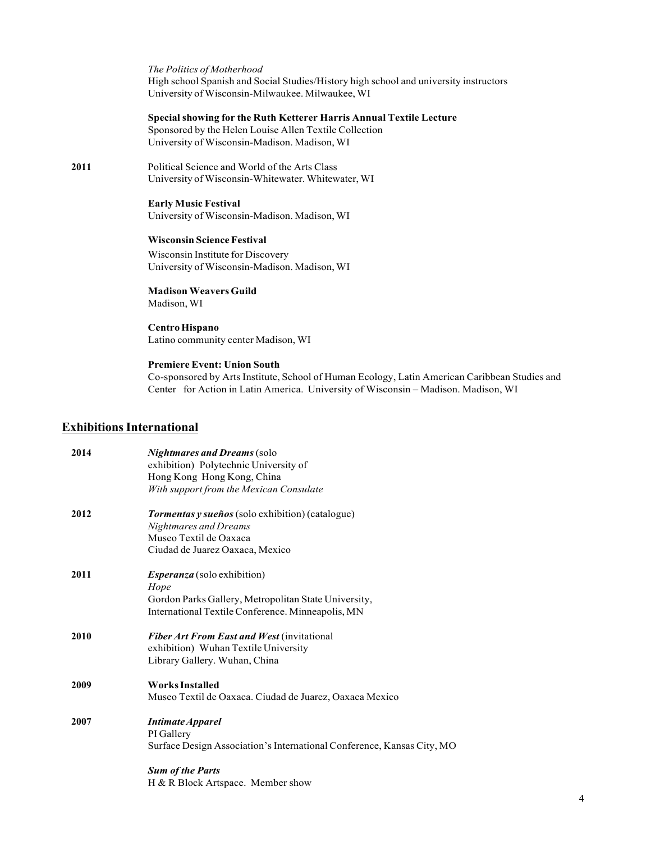| The Politics of Motherhood                                                            |
|---------------------------------------------------------------------------------------|
| High school Spanish and Social Studies/History high school and university instructors |
| University of Wisconsin-Milwaukee, Milwaukee, WI                                      |

#### **Special showing for the Ruth Ketterer Harris Annual Textile Lecture**

Sponsored by the Helen Louise Allen Textile Collection University of Wisconsin-Madison. Madison, WI

**2011** Political Science and World of the Arts Class University of Wisconsin-Whitewater. Whitewater, WI

> **Early Music Festival** University of Wisconsin-Madison. Madison, WI

#### **Wisconsin Science Festival**

Wisconsin Institute for Discovery University of Wisconsin-Madison. Madison, WI

**Madison Weavers Guild** Madison, WI

#### **Centro Hispano** Latino community center Madison, WI

#### **Premiere Event: Union South**

Co-sponsored by Arts Institute, School of Human Ecology, Latin American Caribbean Studies and Center for Action in Latin America. University of Wisconsin – Madison. Madison, WI

## **ExhibitionsInternational**

| 2014 | <b>Nightmares and Dreams</b> (solo                                     |
|------|------------------------------------------------------------------------|
|      | exhibition) Polytechnic University of                                  |
|      | Hong Kong Hong Kong, China                                             |
|      | With support from the Mexican Consulate                                |
| 2012 | Tormentas y sueños (solo exhibition) (catalogue)                       |
|      | <b>Nightmares and Dreams</b>                                           |
|      | Museo Textil de Oaxaca                                                 |
|      | Ciudad de Juarez Oaxaca, Mexico                                        |
| 2011 | <i>Esperanza</i> (solo exhibition)                                     |
|      | Hope                                                                   |
|      | Gordon Parks Gallery, Metropolitan State University,                   |
|      | International Textile Conference. Minneapolis, MN                      |
| 2010 | <b>Fiber Art From East and West (invitational</b>                      |
|      | exhibition) Wuhan Textile University                                   |
|      | Library Gallery. Wuhan, China                                          |
| 2009 | <b>Works Installed</b>                                                 |
|      | Museo Textil de Oaxaca. Ciudad de Juarez, Oaxaca Mexico                |
| 2007 | <b>Intimate Apparel</b>                                                |
|      | PI Gallery                                                             |
|      | Surface Design Association's International Conference, Kansas City, MO |
|      | <b>Sum of the Parts</b>                                                |
|      | H & R Block Artspace. Member show                                      |
|      |                                                                        |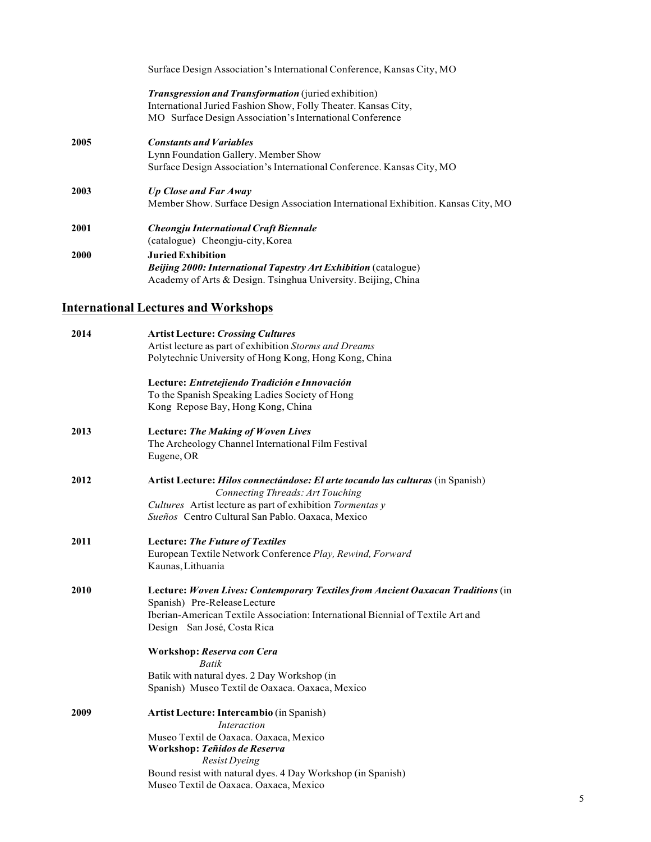|      | Surface Design Association's International Conference, Kansas City, MO            |
|------|-----------------------------------------------------------------------------------|
|      | Transgression and Transformation (juried exhibition)                              |
|      | International Juried Fashion Show, Folly Theater. Kansas City,                    |
|      | MO Surface Design Association's International Conference                          |
| 2005 | <b>Constants and Variables</b>                                                    |
|      | Lynn Foundation Gallery. Member Show                                              |
|      | Surface Design Association's International Conference. Kansas City, MO            |
| 2003 | <b>Up Close and Far Away</b>                                                      |
|      | Member Show. Surface Design Association International Exhibition. Kansas City, MO |
| 2001 | Cheongju International Craft Biennale                                             |
|      | (catalogue) Cheongju-city, Korea                                                  |
| 2000 | <b>Juried Exhibition</b>                                                          |
|      | Beijing 2000: International Tapestry Art Exhibition (catalogue)                   |
|      | Academy of Arts & Design. Tsinghua University. Beijing, China                     |
|      |                                                                                   |

## **International Lectures and Workshops**

| 2014 | <b>Artist Lecture: Crossing Cultures</b>                                        |
|------|---------------------------------------------------------------------------------|
|      | Artist lecture as part of exhibition Storms and Dreams                          |
|      | Polytechnic University of Hong Kong, Hong Kong, China                           |
|      | Lecture: Entretejiendo Tradición e Innovación                                   |
|      | To the Spanish Speaking Ladies Society of Hong                                  |
|      | Kong Repose Bay, Hong Kong, China                                               |
| 2013 | <b>Lecture: The Making of Woven Lives</b>                                       |
|      | The Archeology Channel International Film Festival                              |
|      | Eugene, OR                                                                      |
| 2012 | Artist Lecture: Hilos connectándose: El arte tocando las culturas (in Spanish)  |
|      | Connecting Threads: Art Touching                                                |
|      | Cultures Artist lecture as part of exhibition Tormentas y                       |
|      | Sueños Centro Cultural San Pablo. Oaxaca, Mexico                                |
| 2011 | <b>Lecture: The Future of Textiles</b>                                          |
|      | European Textile Network Conference Play, Rewind, Forward                       |
|      | Kaunas, Lithuania                                                               |
| 2010 | Lecture: Woven Lives: Contemporary Textiles from Ancient Oaxacan Traditions (in |
|      | Spanish) Pre-Release Lecture                                                    |
|      | Iberian-American Textile Association: International Biennial of Textile Art and |
|      | Design San José, Costa Rica                                                     |
|      | Workshop: Reserva con Cera                                                      |
|      | Batik                                                                           |
|      | Batik with natural dyes. 2 Day Workshop (in                                     |
|      | Spanish) Museo Textil de Oaxaca. Oaxaca, Mexico                                 |
| 2009 | Artist Lecture: Intercambio (in Spanish)                                        |
|      | <b>Interaction</b>                                                              |
|      | Museo Textil de Oaxaca. Oaxaca, Mexico                                          |
|      | Workshop: Teñidos de Reserva                                                    |
|      | Resist Dyeing                                                                   |
|      | Bound resist with natural dyes. 4 Day Workshop (in Spanish)                     |
|      | Museo Textil de Oaxaca. Oaxaca, Mexico                                          |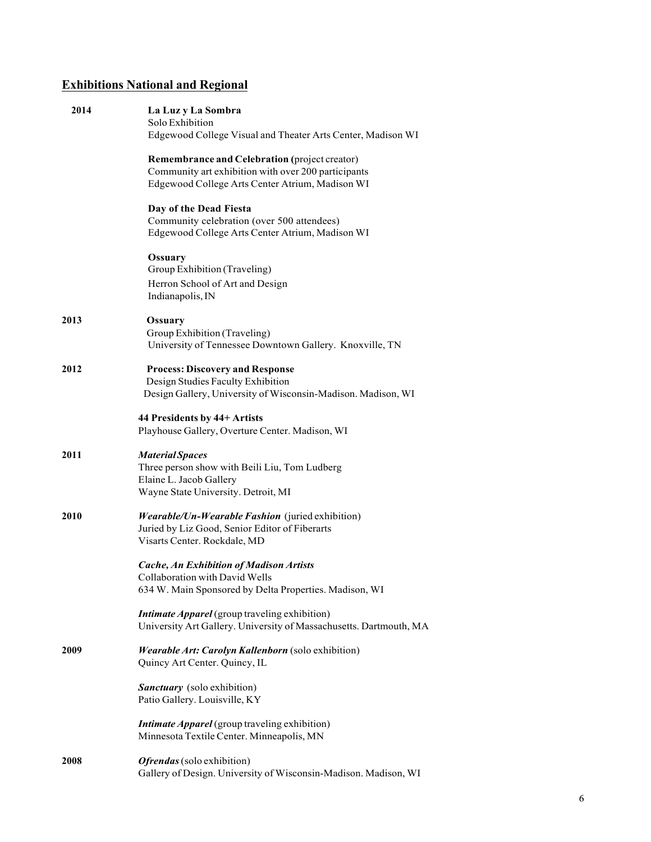## **Exhibitions National and Regional**

| 2014 | La Luz y La Sombra<br>Solo Exhibition<br>Edgewood College Visual and Theater Arts Center, Madison WI                                                    |
|------|---------------------------------------------------------------------------------------------------------------------------------------------------------|
|      | Remembrance and Celebration (project creator)<br>Community art exhibition with over 200 participants<br>Edgewood College Arts Center Atrium, Madison WI |
|      |                                                                                                                                                         |
|      | Day of the Dead Fiesta<br>Community celebration (over 500 attendees)<br>Edgewood College Arts Center Atrium, Madison WI                                 |
|      | Ossuary<br>Group Exhibition (Traveling)                                                                                                                 |
|      | Herron School of Art and Design<br>Indianapolis, IN                                                                                                     |
| 2013 | Ossuary<br>Group Exhibition (Traveling)<br>University of Tennessee Downtown Gallery. Knoxville, TN                                                      |
| 2012 | <b>Process: Discovery and Response</b><br>Design Studies Faculty Exhibition<br>Design Gallery, University of Wisconsin-Madison. Madison, WI             |
|      | 44 Presidents by 44+ Artists<br>Playhouse Gallery, Overture Center. Madison, WI                                                                         |
| 2011 | <b>Material Spaces</b><br>Three person show with Beili Liu, Tom Ludberg<br>Elaine L. Jacob Gallery<br>Wayne State University. Detroit, MI               |
| 2010 | Wearable/Un-Wearable Fashion (juried exhibition)<br>Juried by Liz Good, Senior Editor of Fiberarts<br>Visarts Center. Rockdale, MD                      |
|      | <b>Cache, An Exhibition of Madison Artists</b><br>Collaboration with David Wells<br>634 W. Main Sponsored by Delta Properties. Madison, WI              |
|      | <b>Intimate Apparel</b> (group traveling exhibition)<br>University Art Gallery. University of Massachusetts. Dartmouth, MA                              |
| 2009 | Wearable Art: Carolyn Kallenborn (solo exhibition)<br>Quincy Art Center. Quincy, IL                                                                     |
|      | <b>Sanctuary</b> (solo exhibition)<br>Patio Gallery. Louisville, KY                                                                                     |
|      | <i>Intimate Apparel</i> (group traveling exhibition)<br>Minnesota Textile Center. Minneapolis, MN                                                       |
| 2008 | Ofrendas (solo exhibition)<br>Gallery of Design. University of Wisconsin-Madison. Madison, WI                                                           |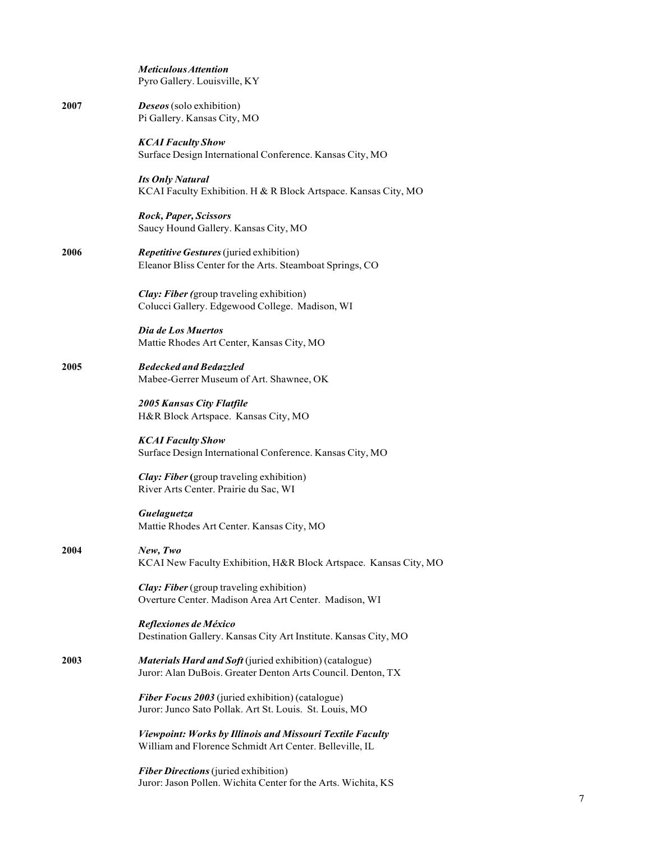|      | <b>Meticulous Attention</b><br>Pyro Gallery. Louisville, KY                                                            |
|------|------------------------------------------------------------------------------------------------------------------------|
| 2007 | <b>Deseos</b> (solo exhibition)<br>Pi Gallery. Kansas City, MO                                                         |
|      | <b>KCAI Faculty Show</b><br>Surface Design International Conference. Kansas City, MO                                   |
|      | <b>Its Only Natural</b><br>KCAI Faculty Exhibition. H & R Block Artspace. Kansas City, MO                              |
|      | Rock, Paper, Scissors<br>Saucy Hound Gallery. Kansas City, MO                                                          |
| 2006 | <b>Repetitive Gestures</b> (juried exhibition)<br>Eleanor Bliss Center for the Arts. Steamboat Springs, CO             |
|      | <b>Clay: Fiber</b> (group traveling exhibition)<br>Colucci Gallery. Edgewood College. Madison, WI                      |
|      | Dia de Los Muertos<br>Mattie Rhodes Art Center, Kansas City, MO                                                        |
| 2005 | <b>Bedecked and Bedazzled</b><br>Mabee-Gerrer Museum of Art. Shawnee, OK                                               |
|      | <b>2005 Kansas City Flatfile</b><br>H&R Block Artspace. Kansas City, MO                                                |
|      | <b>KCAI Faculty Show</b><br>Surface Design International Conference. Kansas City, MO                                   |
|      | <b>Clay: Fiber</b> (group traveling exhibition)<br>River Arts Center. Prairie du Sac, WI                               |
|      | Guelaguetza<br>Mattie Rhodes Art Center. Kansas City, MO                                                               |
| 2004 | New, Two<br>KCAI New Faculty Exhibition, H&R Block Artspace. Kansas City, MO                                           |
|      | <b>Clay: Fiber</b> (group traveling exhibition)<br>Overture Center. Madison Area Art Center. Madison, WI               |
|      | Reflexiones de México<br>Destination Gallery. Kansas City Art Institute. Kansas City, MO                               |
| 2003 | Materials Hard and Soft (juried exhibition) (catalogue)<br>Juror: Alan DuBois. Greater Denton Arts Council. Denton, TX |
|      | Fiber Focus 2003 (juried exhibition) (catalogue)<br>Juror: Junco Sato Pollak. Art St. Louis. St. Louis, MO             |
|      | Viewpoint: Works by Illinois and Missouri Textile Faculty<br>William and Florence Schmidt Art Center. Belleville, IL   |
|      | <b>Fiber Directions</b> (juried exhibition)<br>Juror: Jason Pollen. Wichita Center for the Arts. Wichita, KS           |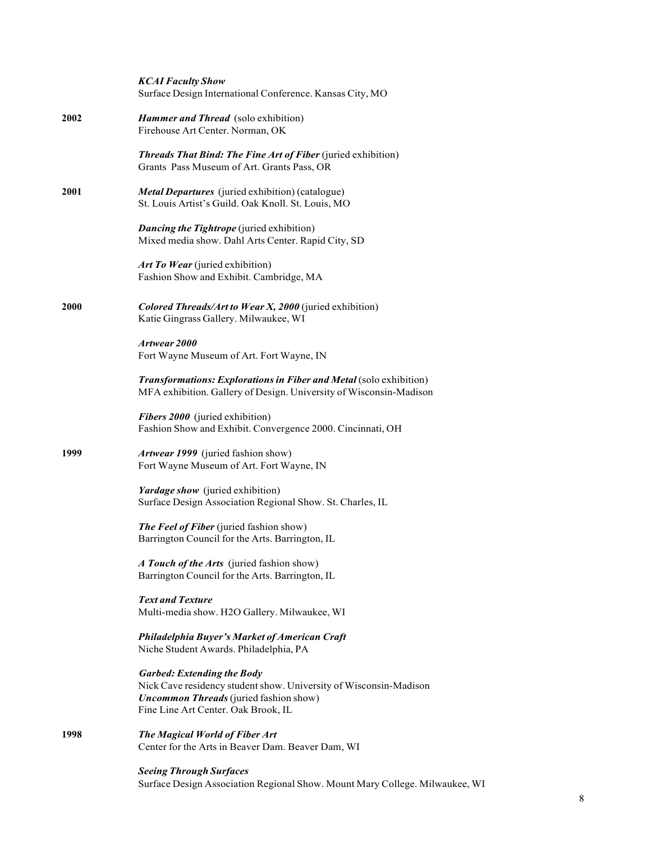|      | <b>KCAI Faculty Show</b><br>Surface Design International Conference. Kansas City, MO                                                                                                           |
|------|------------------------------------------------------------------------------------------------------------------------------------------------------------------------------------------------|
| 2002 | <b>Hammer and Thread</b> (solo exhibition)<br>Firehouse Art Center. Norman, OK                                                                                                                 |
|      | <b>Threads That Bind: The Fine Art of Fiber</b> (juried exhibition)<br>Grants Pass Museum of Art. Grants Pass, OR                                                                              |
| 2001 | <b>Metal Departures</b> (juried exhibition) (catalogue)<br>St. Louis Artist's Guild. Oak Knoll. St. Louis, MO                                                                                  |
|      | <b>Dancing the Tightrope</b> (juried exhibition)<br>Mixed media show. Dahl Arts Center. Rapid City, SD                                                                                         |
|      | Art To Wear (juried exhibition)<br>Fashion Show and Exhibit. Cambridge, MA                                                                                                                     |
| 2000 | Colored Threads/Art to Wear X, 2000 (juried exhibition)<br>Katie Gingrass Gallery. Milwaukee, WI                                                                                               |
|      | Artwear 2000<br>Fort Wayne Museum of Art. Fort Wayne, IN                                                                                                                                       |
|      | <b>Transformations: Explorations in Fiber and Metal (solo exhibition)</b><br>MFA exhibition. Gallery of Design. University of Wisconsin-Madison                                                |
|      | Fibers 2000 (juried exhibition)<br>Fashion Show and Exhibit. Convergence 2000. Cincinnati, OH                                                                                                  |
| 1999 | Artwear 1999 (juried fashion show)<br>Fort Wayne Museum of Art. Fort Wayne, IN                                                                                                                 |
|      | Yardage show (juried exhibition)<br>Surface Design Association Regional Show. St. Charles, IL                                                                                                  |
|      | <b>The Feel of Fiber</b> (juried fashion show)<br>Barrington Council for the Arts. Barrington, IL                                                                                              |
|      | A Touch of the Arts (juried fashion show)<br>Barrington Council for the Arts. Barrington, IL                                                                                                   |
|      | <b>Text and Texture</b><br>Multi-media show. H2O Gallery. Milwaukee, WI                                                                                                                        |
|      | <b>Philadelphia Buyer's Market of American Craft</b><br>Niche Student Awards. Philadelphia, PA                                                                                                 |
|      | <b>Garbed: Extending the Body</b><br>Nick Cave residency student show. University of Wisconsin-Madison<br><b>Uncommon Threads</b> (juried fashion show)<br>Fine Line Art Center. Oak Brook, IL |
| 1998 | The Magical World of Fiber Art<br>Center for the Arts in Beaver Dam. Beaver Dam, WI                                                                                                            |
|      | <b>Seeing Through Surfaces</b><br>Surface Design Association Regional Show. Mount Mary College. Milwaukee, WI                                                                                  |

 $\,8\,$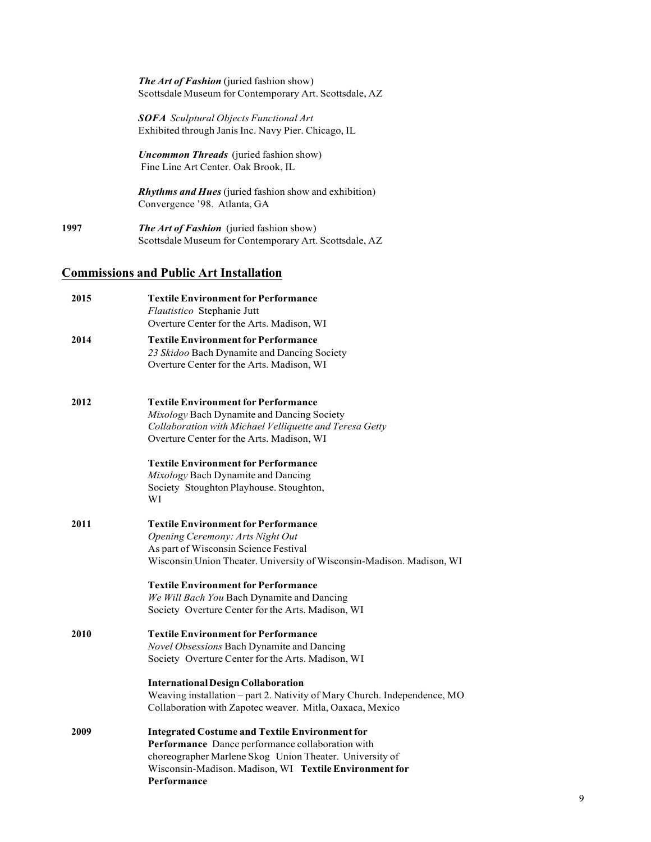*The Art of Fashion* (juried fashion show) Scottsdale Museum for Contemporary Art. Scottsdale, AZ

*SOFA Sculptural Objects Functional Art* Exhibited through Janis Inc. Navy Pier. Chicago, IL

*Uncommon Threads* (juried fashion show) Fine Line Art Center. Oak Brook, IL

*Rhythms and Hues* (juried fashion show and exhibition) Convergence '98. Atlanta, GA

**1997** *The Art of Fashion* (juried fashion show) Scottsdale Museum for Contemporary Art. Scottsdale, AZ

## **Commissions and Public Art Installation**

| 2015 | <b>Textile Environment for Performance</b><br>Flautistico Stephanie Jutt                                              |
|------|-----------------------------------------------------------------------------------------------------------------------|
|      | Overture Center for the Arts. Madison, WI                                                                             |
| 2014 | <b>Textile Environment for Performance</b>                                                                            |
|      | 23 Skidoo Bach Dynamite and Dancing Society                                                                           |
|      | Overture Center for the Arts. Madison, WI                                                                             |
| 2012 | <b>Textile Environment for Performance</b>                                                                            |
|      | Mixology Bach Dynamite and Dancing Society                                                                            |
|      | Collaboration with Michael Velliquette and Teresa Getty                                                               |
|      | Overture Center for the Arts. Madison, WI                                                                             |
|      | <b>Textile Environment for Performance</b>                                                                            |
|      | Mixology Bach Dynamite and Dancing                                                                                    |
|      | Society Stoughton Playhouse. Stoughton,                                                                               |
|      | WI                                                                                                                    |
| 2011 | <b>Textile Environment for Performance</b>                                                                            |
|      | Opening Ceremony: Arts Night Out                                                                                      |
|      | As part of Wisconsin Science Festival                                                                                 |
|      | Wisconsin Union Theater. University of Wisconsin-Madison. Madison, WI                                                 |
|      | <b>Textile Environment for Performance</b>                                                                            |
|      | We Will Bach You Bach Dynamite and Dancing                                                                            |
|      | Society Overture Center for the Arts. Madison, WI                                                                     |
| 2010 | <b>Textile Environment for Performance</b>                                                                            |
|      | Novel Obsessions Bach Dynamite and Dancing                                                                            |
|      | Society Overture Center for the Arts. Madison, WI                                                                     |
|      |                                                                                                                       |
|      | <b>International Design Collaboration</b><br>Weaving installation - part 2. Nativity of Mary Church. Independence, MO |
|      | Collaboration with Zapotec weaver. Mitla, Oaxaca, Mexico                                                              |
| 2009 | <b>Integrated Costume and Textile Environment for</b>                                                                 |
|      | Performance Dance performance collaboration with                                                                      |
|      | choreographer Marlene Skog Union Theater. University of                                                               |
|      | Wisconsin-Madison. Madison, WI Textile Environment for                                                                |
|      | Performance                                                                                                           |
|      |                                                                                                                       |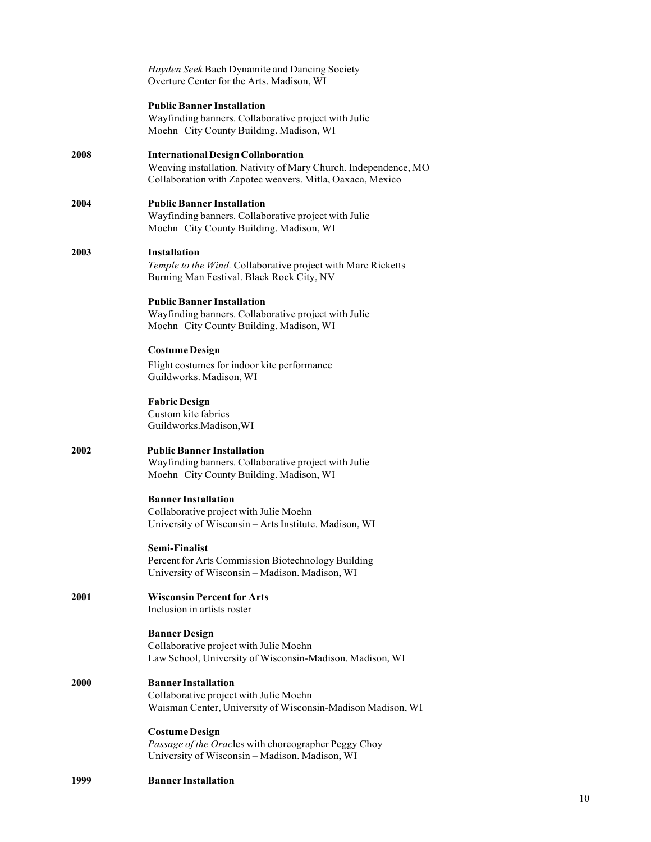|      | Hayden Seek Bach Dynamite and Dancing Society<br>Overture Center for the Arts. Madison, WI                                                                                |
|------|---------------------------------------------------------------------------------------------------------------------------------------------------------------------------|
|      | <b>Public Banner Installation</b><br>Wayfinding banners. Collaborative project with Julie<br>Moehn City County Building. Madison, WI                                      |
| 2008 | <b>International Design Collaboration</b><br>Weaving installation. Nativity of Mary Church. Independence, MO<br>Collaboration with Zapotec weavers. Mitla, Oaxaca, Mexico |
| 2004 | <b>Public Banner Installation</b><br>Wayfinding banners. Collaborative project with Julie<br>Moehn City County Building. Madison, WI                                      |
| 2003 | <b>Installation</b><br>Temple to the Wind. Collaborative project with Marc Ricketts<br>Burning Man Festival. Black Rock City, NV                                          |
|      | <b>Public Banner Installation</b><br>Wayfinding banners. Collaborative project with Julie<br>Moehn City County Building. Madison, WI                                      |
|      | <b>Costume Design</b><br>Flight costumes for indoor kite performance<br>Guildworks. Madison, WI                                                                           |
|      | <b>Fabric Design</b><br>Custom kite fabrics<br>Guildworks.Madison, WI                                                                                                     |
| 2002 | <b>Public Banner Installation</b><br>Wayfinding banners. Collaborative project with Julie<br>Moehn City County Building. Madison, WI                                      |
|      | <b>Banner Installation</b><br>Collaborative project with Julie Moehn<br>University of Wisconsin - Arts Institute. Madison, WI                                             |
|      | Semi-Finalist<br>Percent for Arts Commission Biotechnology Building<br>University of Wisconsin-Madison. Madison, WI                                                       |
| 2001 | <b>Wisconsin Percent for Arts</b><br>Inclusion in artists roster                                                                                                          |
|      | <b>Banner Design</b><br>Collaborative project with Julie Moehn<br>Law School, University of Wisconsin-Madison. Madison, WI                                                |
| 2000 | <b>Banner Installation</b><br>Collaborative project with Julie Moehn<br>Waisman Center, University of Wisconsin-Madison Madison, WI                                       |
|      | <b>Costume Design</b><br>Passage of the Oracles with choreographer Peggy Choy<br>University of Wisconsin - Madison. Madison, WI                                           |
| 1999 | <b>Banner Installation</b>                                                                                                                                                |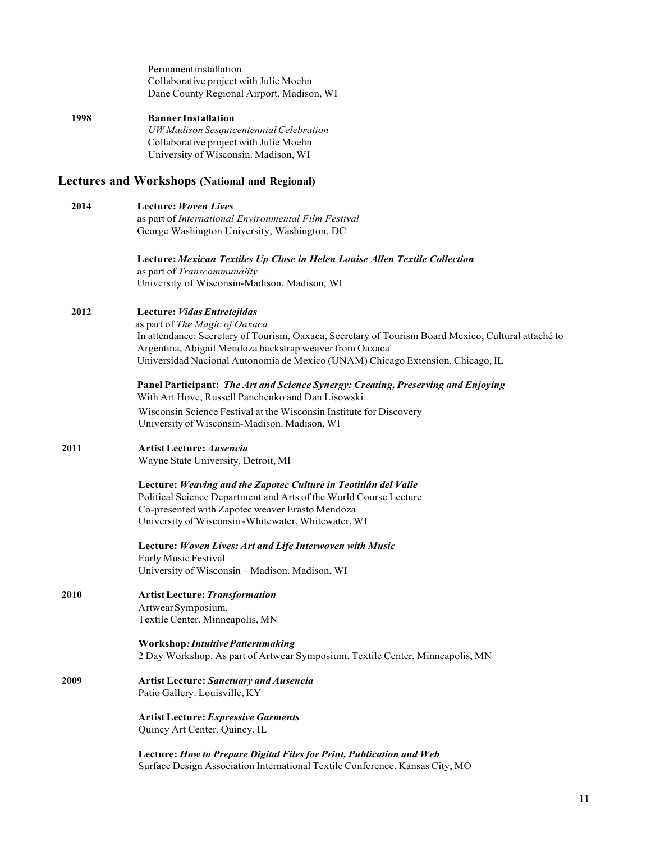Permanentinstallation Collaborative project with Julie Moehn Dane County Regional Airport. Madison, WI

#### **1998 Banner Installation** *UW Madison SesquicentennialCelebration* Collaborative project with Julie Moehn University of Wisconsin. Madison, WI

#### **Lectures and Workshops (National and Regional)**

**2014 Lecture:** *Woven Lives* as part of *International Environmental Film Festival* George Washington University, Washington, DC **Lecture:** *Mexican Textiles Up Close in Helen Louise Allen Textile Collection* as part of *Transcommunality*

University of Wisconsin-Madison. Madison, WI

#### **2012 Lecture:***VidasEntretejidas*

 as part of *The Magic of Oaxaca* In attendance: Secretary of Tourism, Oaxaca, Secretary of Tourism Board Mexico, Cultural attaché to Argentina, Abigail Mendoza backstrap weaver from Oaxaca Universidad Nacional Autonomía de Mexico (UNAM) Chicago Extension. Chicago, IL

**Panel Participant:** *The Art and Science Synergy: Creating, Preserving and Enjoying* With Art Hove, Russell Panchenko and Dan Lisowski

Wisconsin Science Festival at the Wisconsin Institute for Discovery University of Wisconsin-Madison. Madison, WI

## **2011 ArtistLecture:** *Ausencia*

Wayne State University. Detroit, MI

**Lecture:** *Weaving and the Zapotec Culture in Teotitlán del Valle* Political Science Department and Arts of the World Course Lecture Co-presented with Zapotec weaver Erasto Mendoza University of Wisconsin -Whitewater. Whitewater, WI

**Lecture:** *Woven Lives: Art and Life Interwoven with Music* Early Music Festival University of Wisconsin – Madison. Madison, WI

**2010 ArtistLecture:***Transformation* ArtwearSymposium. Textile Center. Minneapolis, MN

> **Workshop***:IntuitivePatternmaking* 2 Day Workshop. As part of Artwear Symposium. Textile Center, Minneapolis, MN

**2009 Artist Lecture:** *Sanctuary and Ausencia* Patio Gallery. Louisville, KY

> **Artist Lecture:** *Expressive Garments* Quincy Art Center. Quincy, IL

**Lecture:** *How to Prepare Digital Files for Print, Publication and Web* Surface Design Association International Textile Conference. Kansas City, MO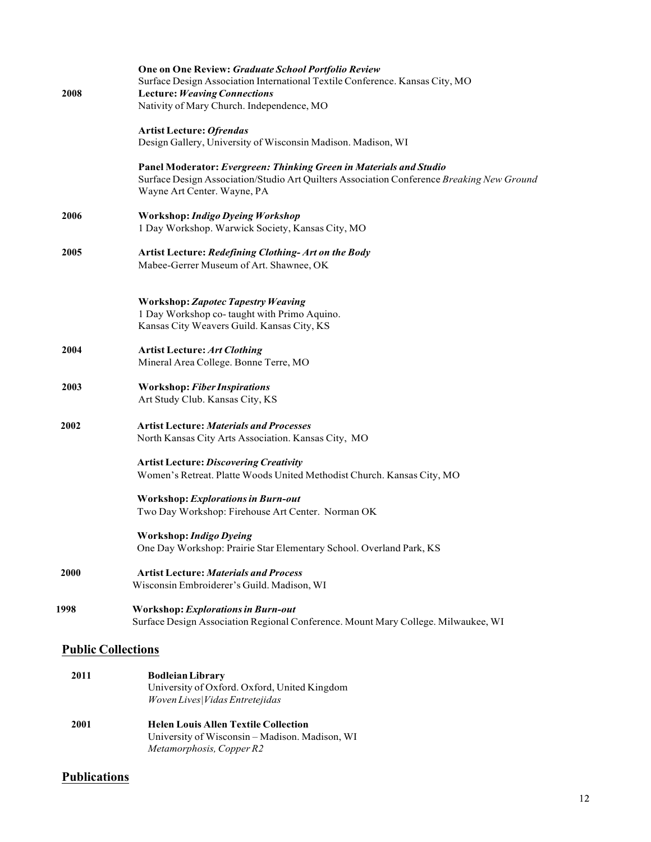|      | One on One Review: Graduate School Portfolio Review                                                                      |
|------|--------------------------------------------------------------------------------------------------------------------------|
|      | Surface Design Association International Textile Conference. Kansas City, MO                                             |
| 2008 | <b>Lecture: Weaving Connections</b><br>Nativity of Mary Church. Independence, MO                                         |
|      | <b>Artist Lecture: Ofrendas</b>                                                                                          |
|      | Design Gallery, University of Wisconsin Madison. Madison, WI                                                             |
|      | Panel Moderator: Evergreen: Thinking Green in Materials and Studio                                                       |
|      | Surface Design Association/Studio Art Quilters Association Conference Breaking New Ground<br>Wayne Art Center. Wayne, PA |
| 2006 | Workshop: Indigo Dyeing Workshop                                                                                         |
|      | 1 Day Workshop. Warwick Society, Kansas City, MO                                                                         |
| 2005 | Artist Lecture: Redefining Clothing- Art on the Body                                                                     |
|      | Mabee-Gerrer Museum of Art. Shawnee, OK                                                                                  |
|      | <b>Workshop: Zapotec Tapestry Weaving</b>                                                                                |
|      | 1 Day Workshop co-taught with Primo Aquino.<br>Kansas City Weavers Guild. Kansas City, KS                                |
|      |                                                                                                                          |
| 2004 | <b>Artist Lecture: Art Clothing</b><br>Mineral Area College. Bonne Terre, MO                                             |
|      |                                                                                                                          |
| 2003 | <b>Workshop: Fiber Inspirations</b><br>Art Study Club. Kansas City, KS                                                   |
|      |                                                                                                                          |
| 2002 | <b>Artist Lecture: Materials and Processes</b>                                                                           |
|      | North Kansas City Arts Association. Kansas City, MO                                                                      |
|      | <b>Artist Lecture: Discovering Creativity</b>                                                                            |
|      | Women's Retreat. Platte Woods United Methodist Church. Kansas City, MO                                                   |
|      | <b>Workshop: Explorations in Burn-out</b>                                                                                |
|      | Two Day Workshop: Firehouse Art Center. Norman OK                                                                        |
|      | <b>Workshop: Indigo Dyeing</b>                                                                                           |
|      | One Day Workshop: Prairie Star Elementary School. Overland Park, KS                                                      |
| 2000 | <b>Artist Lecture: Materials and Process</b>                                                                             |
|      | Wisconsin Embroiderer's Guild. Madison, WI                                                                               |
| 1998 | <b>Workshop: Explorations in Burn-out</b>                                                                                |
|      | Surface Design Association Regional Conference. Mount Mary College. Milwaukee, WI                                        |
|      | <b>Public Collections</b>                                                                                                |
| 2011 | <b>Bodleian Library</b>                                                                                                  |
|      | University of Oxford. Oxford, United Kingdom                                                                             |
|      | Woven Lives  Vidas Entretejidas                                                                                          |
| 2001 | <b>Helen Louis Allen Textile Collection</b>                                                                              |
|      | University of Wisconsin - Madison. Madison, WI                                                                           |
|      | Metamorphosis, Copper R2                                                                                                 |

## **Publications**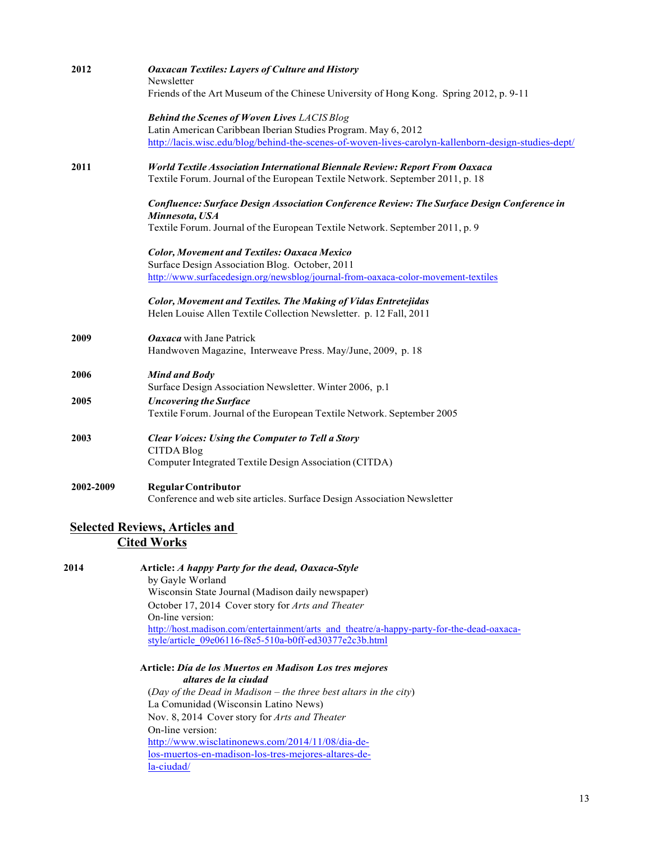| 2012      | <b>Oaxacan Textiles: Layers of Culture and History</b>                                              |
|-----------|-----------------------------------------------------------------------------------------------------|
|           | Newsletter                                                                                          |
|           | Friends of the Art Museum of the Chinese University of Hong Kong. Spring 2012, p. 9-11              |
|           | <b>Behind the Scenes of Woven Lives LACIS Blog</b>                                                  |
|           | Latin American Caribbean Iberian Studies Program. May 6, 2012                                       |
|           | http://lacis.wisc.edu/blog/behind-the-scenes-of-woven-lives-carolyn-kallenborn-design-studies-dept/ |
| 2011      | <b>World Textile Association International Biennale Review: Report From Oaxaca</b>                  |
|           | Textile Forum. Journal of the European Textile Network. September 2011, p. 18                       |
|           | Confluence: Surface Design Association Conference Review: The Surface Design Conference in          |
|           | Minnesota, USA                                                                                      |
|           | Textile Forum. Journal of the European Textile Network. September 2011, p. 9                        |
|           | <b>Color, Movement and Textiles: Oaxaca Mexico</b>                                                  |
|           | Surface Design Association Blog. October, 2011                                                      |
|           | http://www.surfacedesign.org/newsblog/journal-from-oaxaca-color-movement-textiles                   |
|           | <b>Color, Movement and Textiles. The Making of Vidas Entretejidas</b>                               |
|           | Helen Louise Allen Textile Collection Newsletter. p. 12 Fall, 2011                                  |
| 2009      | Oaxaca with Jane Patrick                                                                            |
|           | Handwoven Magazine, Interweave Press. May/June, 2009, p. 18                                         |
| 2006      | <b>Mind and Body</b>                                                                                |
|           | Surface Design Association Newsletter. Winter 2006, p.1                                             |
| 2005      | <b>Uncovering the Surface</b>                                                                       |
|           | Textile Forum. Journal of the European Textile Network. September 2005                              |
| 2003      | <b>Clear Voices: Using the Computer to Tell a Story</b>                                             |
|           | <b>CITDA Blog</b>                                                                                   |
|           | Computer Integrated Textile Design Association (CITDA)                                              |
| 2002-2009 | <b>Regular Contributor</b>                                                                          |
|           | Conference and web site articles. Surface Design Association Newsletter                             |
|           | <b>Selected Reviews, Articles and</b>                                                               |
|           | <b>Cited Works</b>                                                                                  |
|           |                                                                                                     |
| 2014      | Article: A happy Party for the dead, Oaxaca-Style                                                   |
|           | by Gayle Worland<br>Wisconsin State Journal (Madison daily newspaper)                               |
|           | October 17, 2014 Cover story for Arts and Theater                                                   |
|           | On-line version:                                                                                    |
|           | http://host.madison.com/entertainment/arts and theatre/a-happy-party-for-the-dead-oaxaca-           |
|           | style/article_09e06116-f8e5-510a-b0ff-ed30377e2c3b.html                                             |
|           | Article: Día de los Muertos en Madison Los tres mejores                                             |
|           | altares de la ciudad                                                                                |
|           | (Day of the Dead in Madison – the three best altars in the city)                                    |
|           | La Comunidad (Wisconsin Latino News)                                                                |
|           | Nov. 8, 2014 Cover story for Arts and Theater                                                       |
|           | On-line version:                                                                                    |
|           | http://www.wisclatinonews.com/2014/11/08/dia-de-                                                    |

los-muertos-en-madison-los-tres-mejores-altares-dela-ciudad/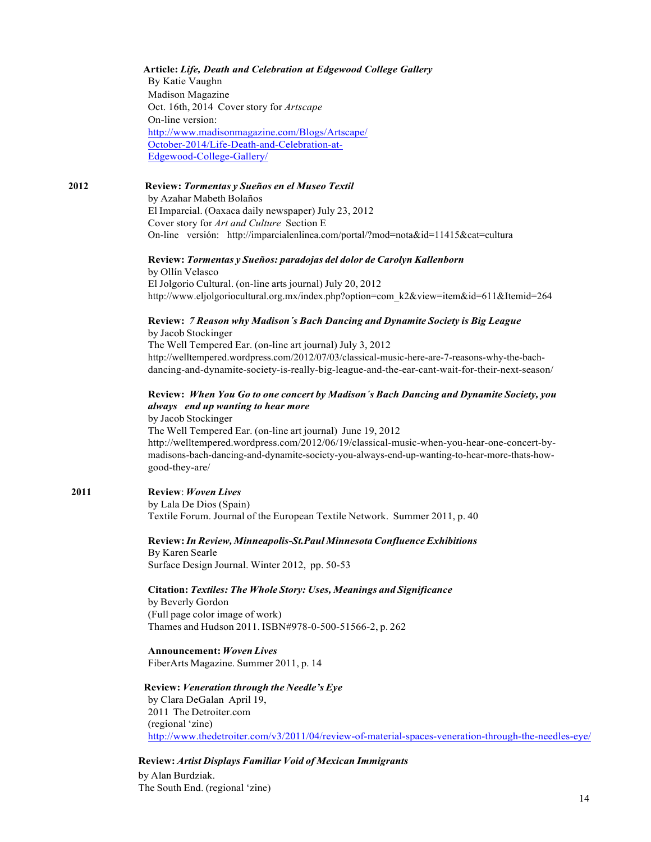#### **Article:** *Life, Death and Celebration at Edgewood College Gallery*

By Katie Vaughn Madison Magazine Oct. 16th, 2014 Cover story for *Artscape* On-line version: http://www.madisonmagazine.com/Blogs/Artscape/ October-2014/Life-Death-and-Celebration-at-Edgewood-College-Gallery/

#### **2012 Review:** *Tormentas y Sueños en el Museo Textil*

by Azahar Mabeth Bolaños El Imparcial. (Oaxaca daily newspaper) July 23, 2012 Cover story for *Art and Culture* Section E On-line versión: http://imparcialenlinea.com/portal/?mod=nota&id=11415&cat=cultura

#### **Review:** *Tormentas y Sueños: paradojas del dolor de Carolyn Kallenborn*

by Ollín Velasco El Jolgorio Cultural. (on-line arts journal) July 20, 2012 http://www.eljolgoriocultural.org.mx/index.php?option=com\_k2&view=item&id=611&Itemid=264

#### **Review:** *7 Reason why Madison´s Bach Dancing and Dynamite Society is Big League* by Jacob Stockinger

The Well Tempered Ear. (on-line art journal) July 3, 2012 http://welltempered.wordpress.com/2012/07/03/classical-music-here-are-7-reasons-why-the-bachdancing-and-dynamite-society-is-really-big-league-and-the-ear-cant-wait-for-their-next-season/

#### **Review:** *When You Go to one concert by Madison´s Bach Dancing and Dynamite Society, you always end up wanting to hear more*

by Jacob Stockinger The Well Tempered Ear. (on-line art journal) June 19, 2012 http://welltempered.wordpress.com/2012/06/19/classical-music-when-you-hear-one-concert-bymadisons-bach-dancing-and-dynamite-society-you-always-end-up-wanting-to-hear-more-thats-howgood-they-are/

#### **2011 Review**: *Woven Lives*

by Lala De Dios (Spain) Textile Forum. Journal of the European Textile Network. Summer 2011, p. 40

**Review:***In Review, Minneapolis-St.Paul Minnesota Confluence Exhibitions* By Karen Searle Surface Design Journal. Winter 2012, pp. 50-53

**Citation:** *Textiles: The Whole Story: Uses, Meanings and Significance*

by Beverly Gordon (Full page color image of work) Thames and Hudson 2011. ISBN#978-0-500-51566-2, p. 262

#### **Announcement:** *Woven Lives*

FiberArts Magazine. Summer 2011, p. 14

#### **Review:** *Veneration through the Needle's Eye*

by Clara DeGalan April 19, 2011 The Detroiter.com (regional 'zine) http://www.thedetroiter.com/v3/2011/04/review-of-material-spaces-veneration-through-the-needles-eye/

**Review:** *Artist Displays Familiar Void of Mexican Immigrants*

by Alan Burdziak. The South End. (regional 'zine)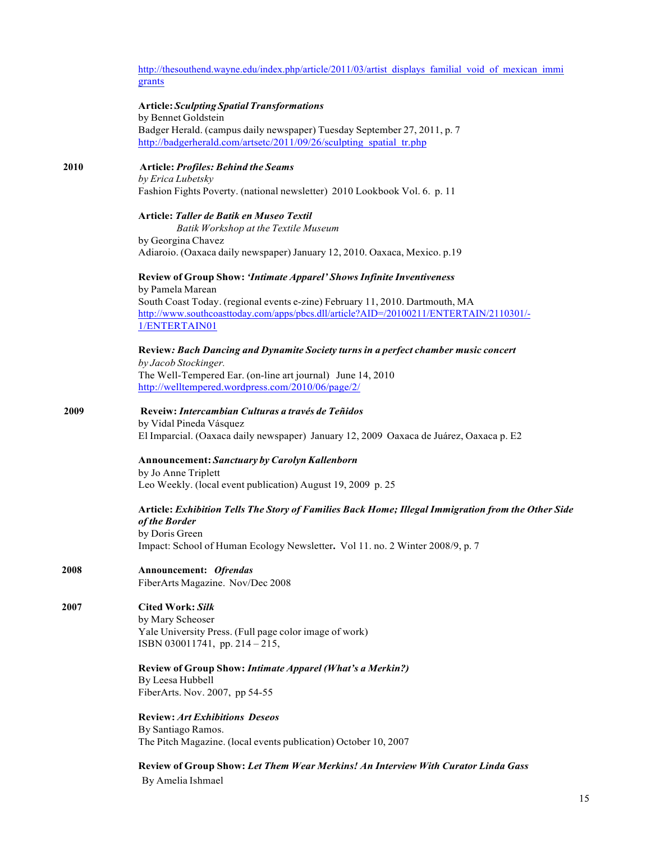http://thesouthend.wayne.edu/index.php/article/2011/03/artist\_displays\_familial\_void\_of\_mexican\_immi grants

#### **Article:** *Sculpting Spatial Transformations*

by Bennet Goldstein Badger Herald. (campus daily newspaper) Tuesday September 27, 2011, p. 7 http://badgerherald.com/artsetc/2011/09/26/sculpting\_spatial\_tr.php

## **2010 Article:** *Profiles: Behind the Seams by Erica Lubetsky*

Fashion Fights Poverty. (national newsletter) 2010 Lookbook Vol. 6. p. 11

#### **Article:** *Taller de Batik en Museo Textil*

*Batik Workshop at the Textile Museum* by Georgina Chavez Adiaroio. (Oaxaca daily newspaper) January 12, 2010. Oaxaca, Mexico. p.19

#### **Review of Group Show:** *'Intimate Apparel' Shows Infinite Inventiveness* by Pamela Marean

South Coast Today. (regional events e-zine) February 11, 2010. Dartmouth, MA http://www.southcoasttoday.com/apps/pbcs.dll/article?AID=/20100211/ENTERTAIN/2110301/- 1/ENTERTAIN01

#### **Review***: Bach Dancing and Dynamite Society turns in a perfect chamber music concert by Jacob Stockinger.* The Well-Tempered Ear. (on-line art journal) June 14, 2010

http://welltempered.wordpress.com/2010/06/page/2/

#### **2009 Reveiw:** *Intercambian Culturas a través de Teñidos* by Vidal Pineda Vásquez El Imparcial. (Oaxaca daily newspaper) January 12, 2009 Oaxaca de Juárez, Oaxaca p. E2

**Announcement:** *Sanctuary by Carolyn Kallenborn* by Jo Anne Triplett Leo Weekly. (local event publication) August 19, 2009 p. 25

#### **Article:** *Exhibition Tells The Story of Families Back Home; Illegal Immigration from the Other Side of the Border* by Doris Green

Impact: School of Human Ecology Newsletter**.** Vol 11. no. 2 Winter 2008/9, p. 7

#### **2008 Announcement:** *Ofrendas* FiberArts Magazine. Nov/Dec 2008

## **2007 Cited Work:** *Silk*

by Mary Scheoser Yale University Press. (Full page color image of work) ISBN 030011741, pp. 214 – 215,

**Review of Group Show:** *Intimate Apparel (What's a Merkin?)* By Leesa Hubbell

FiberArts. Nov. 2007, pp 54-55

**Review:** *Art Exhibitions Deseos* By Santiago Ramos. The Pitch Magazine. (local events publication) October 10, 2007

**Review of Group Show:** *Let Them Wear Merkins! An Interview With Curator Linda Gass* By Amelia Ishmael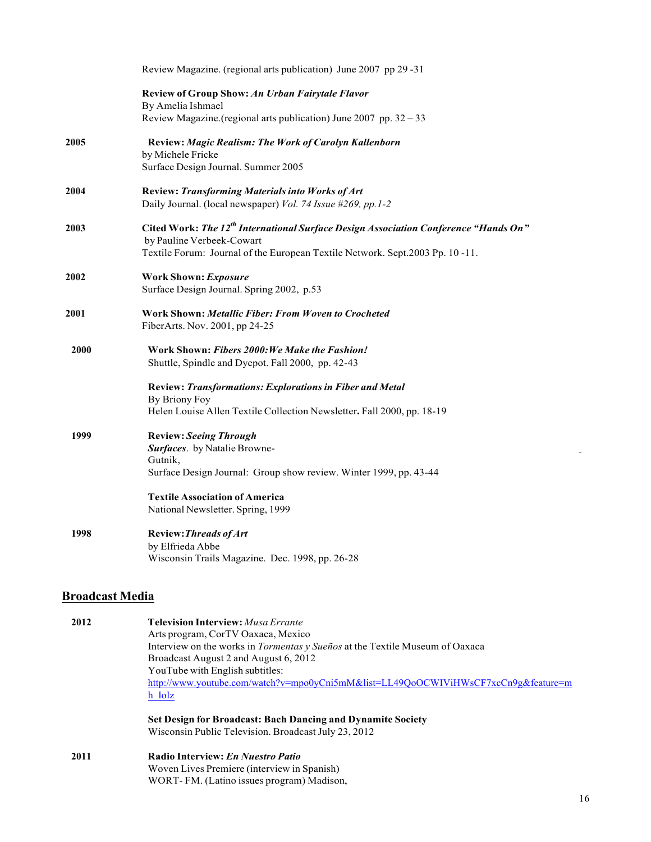|                        | Review Magazine. (regional arts publication) June 2007 pp 29 -31                                                             |
|------------------------|------------------------------------------------------------------------------------------------------------------------------|
|                        | <b>Review of Group Show: An Urban Fairytale Flavor</b><br>By Amelia Ishmael                                                  |
|                        | Review Magazine.(regional arts publication) June 2007 pp. 32 - 33                                                            |
| 2005                   | Review: Magic Realism: The Work of Carolyn Kallenborn<br>by Michele Fricke                                                   |
|                        | Surface Design Journal. Summer 2005                                                                                          |
| 2004                   | <b>Review: Transforming Materials into Works of Art</b>                                                                      |
|                        | Daily Journal. (local newspaper) Vol. 74 Issue #269, pp. 1-2                                                                 |
| 2003                   | Cited Work: The 12 <sup>th</sup> International Surface Design Association Conference "Hands On"<br>by Pauline Verbeek-Cowart |
|                        | Textile Forum: Journal of the European Textile Network. Sept.2003 Pp. 10-11.                                                 |
| 2002                   | <b>Work Shown: Exposure</b><br>Surface Design Journal. Spring 2002, p.53                                                     |
|                        |                                                                                                                              |
| 2001                   | Work Shown: Metallic Fiber: From Woven to Crocheted<br>FiberArts. Nov. 2001, pp 24-25                                        |
| 2000                   | Work Shown: Fibers 2000: We Make the Fashion!<br>Shuttle, Spindle and Dyepot. Fall 2000, pp. 42-43                           |
|                        | <b>Review: Transformations: Explorations in Fiber and Metal</b>                                                              |
|                        | By Briony Foy<br>Helen Louise Allen Textile Collection Newsletter. Fall 2000, pp. 18-19                                      |
| 1999                   | <b>Review: Seeing Through</b>                                                                                                |
|                        | Surfaces. by Natalie Browne-<br>Gutnik,                                                                                      |
|                        | Surface Design Journal: Group show review. Winter 1999, pp. 43-44                                                            |
|                        | <b>Textile Association of America</b>                                                                                        |
|                        | National Newsletter. Spring, 1999                                                                                            |
| 1998                   | <b>Review: Threads of Art</b>                                                                                                |
|                        | by Elfrieda Abbe<br>Wisconsin Trails Magazine. Dec. 1998, pp. 26-28                                                          |
|                        |                                                                                                                              |
| <b>Broadcast Media</b> |                                                                                                                              |
| 2012                   | <b>Television Interview: Musa Errante</b>                                                                                    |
|                        | Arts program, CorTV Oaxaca, Mexico                                                                                           |
|                        | Interview on the works in Tormentas y Sueños at the Textile Museum of Oaxaca                                                 |
|                        | Broadcast August 2 and August 6, 2012<br>YouTube with English subtitles:                                                     |
|                        | http://www.youtube.com/watch?v=mpo0yCni5mM&list=LL49QoOCWIViHWsCF7xcCn9g&feature=m                                           |

**Set Design for Broadcast: Bach Dancing and Dynamite Society** Wisconsin Public Television. Broadcast July 23, 2012

**2011 Radio Interview:** *En Nuestro Patio* Woven Lives Premiere (interview in Spanish) WORT- FM. (Latino issues program) Madison,

h\_lolz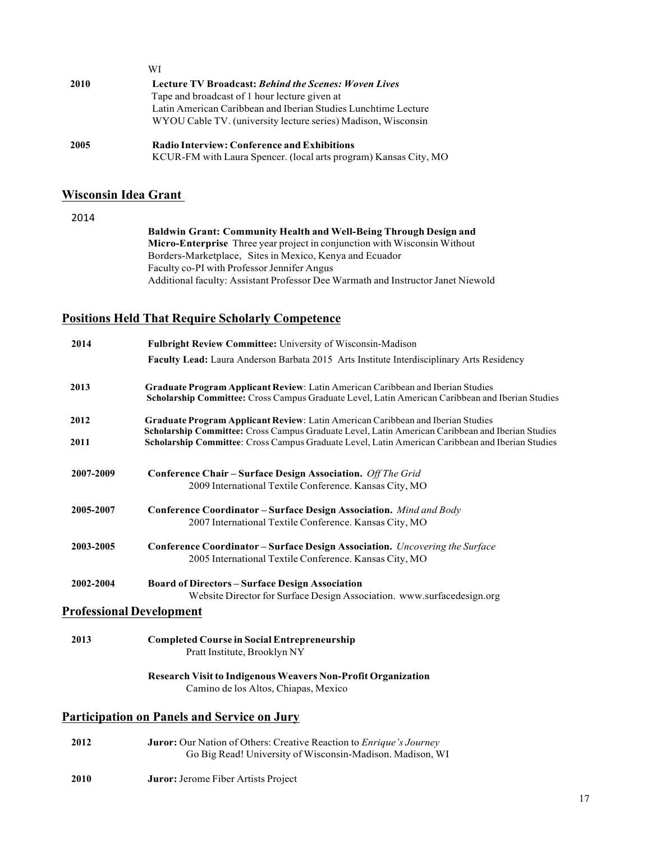|      | WI                                                               |
|------|------------------------------------------------------------------|
| 2010 | <b>Lecture TV Broadcast: Behind the Scenes: Woven Lives</b>      |
|      | Tape and broadcast of 1 hour lecture given at                    |
|      | Latin American Caribbean and Iberian Studies Lunchtime Lecture   |
|      | WYOU Cable TV. (university lecture series) Madison, Wisconsin    |
| 2005 | <b>Radio Interview: Conference and Exhibitions</b>               |
|      | KCUR-FM with Laura Spencer. (local arts program) Kansas City, MO |

## **Wisconsin Idea Grant**

2014

**Baldwin Grant: Community Health and Well-Being Through Design and Micro-Enterprise** Three year project in conjunction with Wisconsin Without Borders-Marketplace, Sites in Mexico, Kenya and Ecuador Faculty co-PI with Professor Jennifer Angus Additional faculty: Assistant Professor Dee Warmath and Instructor Janet Niewold

## **Positions Held That Require Scholarly Competence**

| Fulbright Review Committee: University of Wisconsin-Madison                                                                                                                         |
|-------------------------------------------------------------------------------------------------------------------------------------------------------------------------------------|
| Faculty Lead: Laura Anderson Barbata 2015 Arts Institute Interdisciplinary Arts Residency                                                                                           |
| Graduate Program Applicant Review: Latin American Caribbean and Iberian Studies<br>Scholarship Committee: Cross Campus Graduate Level, Latin American Caribbean and Iberian Studies |
| Graduate Program Applicant Review: Latin American Caribbean and Iberian Studies<br>Scholarship Committee: Cross Campus Graduate Level, Latin American Caribbean and Iberian Studies |
| Scholarship Committee: Cross Campus Graduate Level, Latin American Caribbean and Iberian Studies                                                                                    |
| Conference Chair - Surface Design Association. Off The Grid<br>2009 International Textile Conference. Kansas City, MO                                                               |
| Conference Coordinator - Surface Design Association. Mind and Body<br>2007 International Textile Conference. Kansas City, MO                                                        |
| Conference Coordinator - Surface Design Association. Uncovering the Surface<br>2005 International Textile Conference. Kansas City, MO                                               |
| <b>Board of Directors - Surface Design Association</b><br>Website Director for Surface Design Association. www.surfacedesign.org                                                    |
| <b>Professional Development</b>                                                                                                                                                     |
| <b>Completed Course in Social Entrepreneurship</b><br>Pratt Institute, Brooklyn NY                                                                                                  |
| <b>Research Visit to Indigenous Weavers Non-Profit Organization</b><br>Camino de los Altos, Chiapas, Mexico                                                                         |
| <b>Participation on Panels and Service on Jury</b>                                                                                                                                  |
| <b>Juror:</b> Our Nation of Others: Creative Reaction to <i>Enrique's Journey</i><br>Go Big Read! University of Wisconsin-Madison. Madison, WI                                      |
| Juror: Jerome Fiber Artists Project                                                                                                                                                 |
|                                                                                                                                                                                     |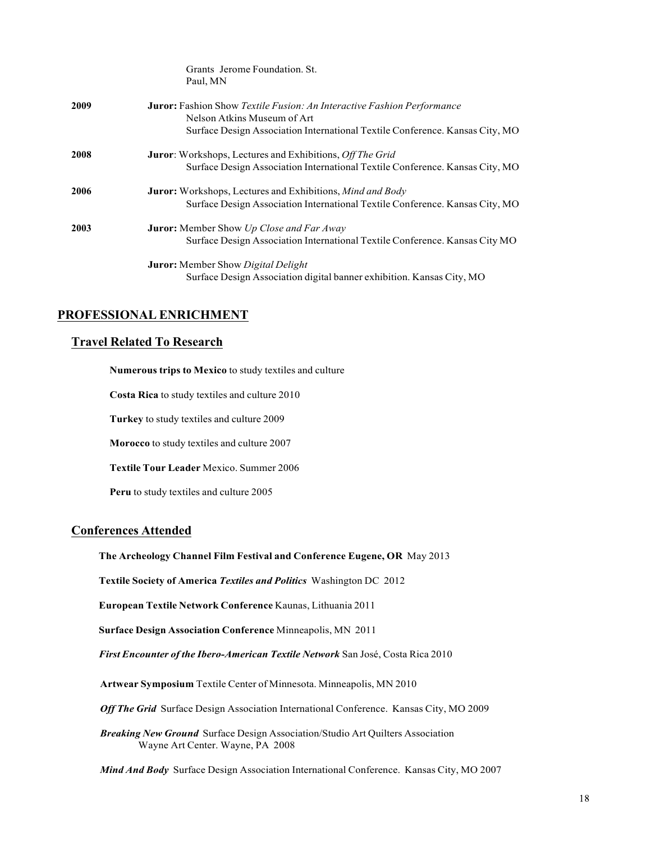|      | Grants Jerome Foundation. St.<br>Paul, MN                                                                    |
|------|--------------------------------------------------------------------------------------------------------------|
| 2009 | <b>Juror:</b> Fashion Show Textile Fusion: An Interactive Fashion Performance<br>Nelson Atkins Museum of Art |
|      | Surface Design Association International Textile Conference. Kansas City, MO                                 |
| 2008 | <b>Juror:</b> Workshops, Lectures and Exhibitions, <i>Off The Grid</i>                                       |
|      | Surface Design Association International Textile Conference. Kansas City, MO                                 |
| 2006 | <b>Juror:</b> Workshops, Lectures and Exhibitions, <i>Mind and Body</i>                                      |
|      | Surface Design Association International Textile Conference. Kansas City, MO                                 |
| 2003 | <b>Juror:</b> Member Show Up Close and Far Away                                                              |
|      | Surface Design Association International Textile Conference. Kansas City MO                                  |
|      | <b>Juror:</b> Member Show <i>Digital Delight</i>                                                             |
|      | Surface Design Association digital banner exhibition. Kansas City, MO                                        |

## **PROFESSIONAL ENRICHMENT**

#### **Travel Related To Research**

**Numerous trips to Mexico** to study textiles and culture **Costa Rica** to study textiles and culture 2010 **Turkey** to study textiles and culture 2009 **Morocco** to study textiles and culture 2007 **Textile Tour Leader** Mexico. Summer 2006 **Peru** to study textiles and culture 2005

#### **Conferences Attended**

#### **The Archeology Channel Film Festival and Conference Eugene, OR** May 2013

**Textile Society of America** *Textiles and Politics* Washington DC 2012

**European Textile Network Conference** Kaunas, Lithuania 2011

**Surface Design Association Conference** Minneapolis, MN 2011

*First Encounter of the Ibero-American Textile Network* San José, Costa Rica 2010

**Artwear Symposium** Textile Center of Minnesota. Minneapolis, MN 2010

*Off The Grid* Surface Design Association International Conference. Kansas City, MO 2009

*Breaking New Ground* Surface Design Association/Studio Art Quilters Association Wayne Art Center. Wayne, PA 2008

*Mind And Body* Surface Design Association International Conference. Kansas City, MO 2007